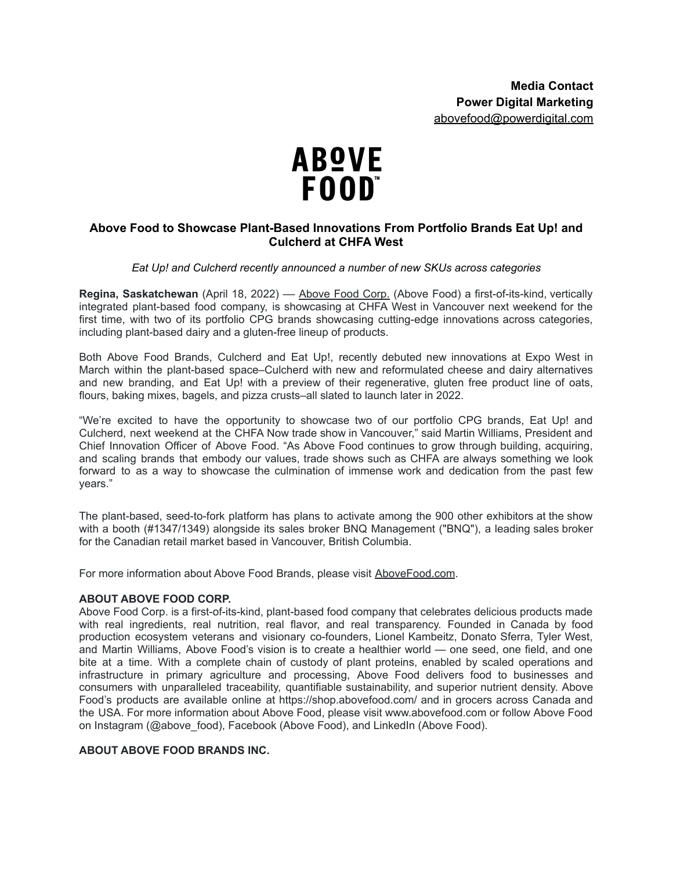

## **Above Food to Showcase Plant-Based Innovations From Portfolio Brands Eat Up! and Culcherd at CHFA West**

## *Eat Up! and Culcherd recently announced a number of new SKUs across categories*

**Regina, Saskatchewan** (April 18, 2022) –– [Above](https://abovefood.ca/) Food Corp. (Above Food) a first-of-its-kind, vertically integrated plant-based food company, is showcasing at CHFA West in Vancouver next weekend for the first time, with two of its portfolio CPG brands showcasing cutting-edge innovations across categories, including plant-based dairy and a gluten-free lineup of products.

Both Above Food Brands, Culcherd and Eat Up!, recently debuted new innovations at Expo West in March within the plant-based space–Culcherd with new and reformulated cheese and dairy alternatives and new branding, and Eat Up! with a preview of their regenerative, gluten free product line of oats, flours, baking mixes, bagels, and pizza crusts–all slated to launch later in 2022.

"We're excited to have the opportunity to showcase two of our portfolio CPG brands, Eat Up! and Culcherd, next weekend at the CHFA Now trade show in Vancouver," said Martin Williams, President and Chief Innovation Officer of Above Food. "As Above Food continues to grow through building, acquiring, and scaling brands that embody our values, trade shows such as CHFA are always something we look forward to as a way to showcase the culmination of immense work and dedication from the past few years."

The plant-based, seed-to-fork platform has plans to activate among the 900 other exhibitors at the show with a booth (#1347/1349) alongside its sales broker BNQ Management ("BNQ"), a leading sales broker for the Canadian retail market based in Vancouver, British Columbia.

For more information about Above Food Brands, please visit [AboveFood.com](https://abovefood.com/).

## **ABOUT ABOVE FOOD CORP.**

Above Food Corp. is a first-of-its-kind, plant-based food company that celebrates delicious products made with real ingredients, real nutrition, real flavor, and real transparency. Founded in Canada by food production ecosystem veterans and visionary co-founders, Lionel Kambeitz, Donato Sferra, Tyler West, and Martin Williams, Above Food's vision is to create a healthier world — one seed, one field, and one bite at a time. With a complete chain of custody of plant proteins, enabled by scaled operations and infrastructure in primary agriculture and processing, Above Food delivers food to businesses and consumers with unparalleled traceability, quantifiable sustainability, and superior nutrient density. Above Food's products are available online at https://shop.abovefood.com/ and in grocers across Canada and the USA. For more information about Above Food, please visit www.abovefood.com or follow Above Food on Instagram (@above\_food), Facebook (Above Food), and LinkedIn (Above Food).

## **ABOUT ABOVE FOOD BRANDS INC.**